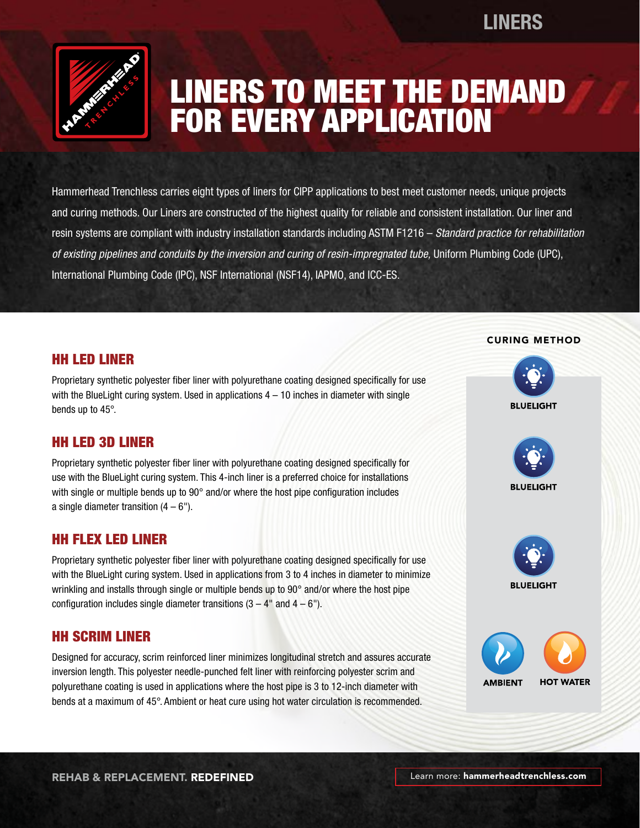# **LINERS**



# LINERS TO MEET THE DEMAND FOR EVERY APPLICATION

Hammerhead Trenchless carries eight types of liners for CIPP applications to best meet customer needs, unique projects and curing methods. Our Liners are constructed of the highest quality for reliable and consistent installation. Our liner and resin systems are compliant with industry installation standards including ASTM F1216 – *Standard practice for rehabilitation of existing pipelines and conduits by the inversion and curing of resin-impregnated tube,* Uniform Plumbing Code (UPC), International Plumbing Code (IPC), NSF International (NSF14), IAPMO, and ICC-ES.

### HH LED LINER

Proprietary synthetic polyester fiber liner with polyurethane coating designed specifically for use with the BlueLight curing system. Used in applications  $4 - 10$  inches in diameter with single bends up to 45°.

# HH LED 3D LINER

Proprietary synthetic polyester fiber liner with polyurethane coating designed specifically for use with the BlueLight curing system. This 4-inch liner is a preferred choice for installations with single or multiple bends up to 90° and/or where the host pipe configuration includes a single diameter transition  $(4 - 6)$ .

# HH FLEX LED LINER

Proprietary synthetic polyester fiber liner with polyurethane coating designed specifically for use with the BlueLight curing system. Used in applications from 3 to 4 inches in diameter to minimize wrinkling and installs through single or multiple bends up to 90° and/or where the host pipe configuration includes single diameter transitions  $(3 - 4$ " and  $4 - 6$ ").

# HH SCRIM LINER

Designed for accuracy, scrim reinforced liner minimizes longitudinal stretch and assures accurate inversion length. This polyester needle-punched felt liner with reinforcing polyester scrim and polyurethane coating is used in applications where the host pipe is 3 to 12-inch diameter with bends at a maximum of 45°. Ambient or heat cure using hot water circulation is recommended.

#### CURING METHOD